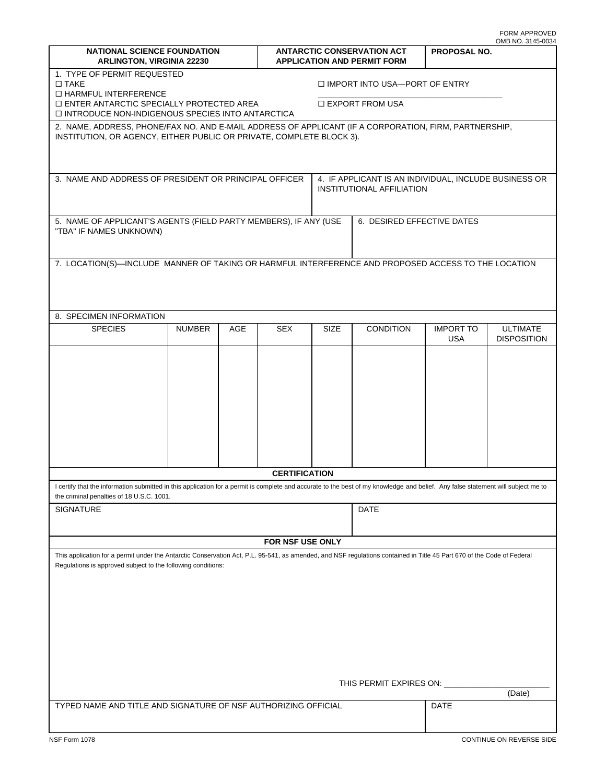|                                                                                                                                                                                                                                        |               |     |                                                                         |                                                                                    |                  |                         | OMB NO. 3145-0034                     |
|----------------------------------------------------------------------------------------------------------------------------------------------------------------------------------------------------------------------------------------|---------------|-----|-------------------------------------------------------------------------|------------------------------------------------------------------------------------|------------------|-------------------------|---------------------------------------|
| <b>NATIONAL SCIENCE FOUNDATION</b><br><b>ARLINGTON, VIRGINIA 22230</b>                                                                                                                                                                 |               |     | <b>ANTARCTIC CONSERVATION ACT</b><br><b>APPLICATION AND PERMIT FORM</b> |                                                                                    |                  | <b>PROPOSAL NO.</b>     |                                       |
| 1. TYPE OF PERMIT REQUESTED<br>$\Box$ TAKE<br>□ HARMFUL INTERFERENCE                                                                                                                                                                   |               |     |                                                                         | □ IMPORT INTO USA-PORT OF ENTRY                                                    |                  |                         |                                       |
| $\Box$ ENTER ANTARCTIC SPECIALLY PROTECTED AREA<br>□ INTRODUCE NON-INDIGENOUS SPECIES INTO ANTARCTICA                                                                                                                                  |               |     |                                                                         | □ EXPORT FROM USA                                                                  |                  |                         |                                       |
| 2. NAME, ADDRESS, PHONE/FAX NO. AND E-MAIL ADDRESS OF APPLICANT (IF A CORPORATION, FIRM, PARTNERSHIP,<br>INSTITUTION, OR AGENCY, EITHER PUBLIC OR PRIVATE, COMPLETE BLOCK 3).                                                          |               |     |                                                                         |                                                                                    |                  |                         |                                       |
| 3. NAME AND ADDRESS OF PRESIDENT OR PRINCIPAL OFFICER                                                                                                                                                                                  |               |     |                                                                         | 4. IF APPLICANT IS AN INDIVIDUAL, INCLUDE BUSINESS OR<br>INSTITUTIONAL AFFILIATION |                  |                         |                                       |
| 5. NAME OF APPLICANT'S AGENTS (FIELD PARTY MEMBERS), IF ANY (USE<br>"TBA" IF NAMES UNKNOWN)                                                                                                                                            |               |     | 6. DESIRED EFFECTIVE DATES                                              |                                                                                    |                  |                         |                                       |
| 7. LOCATION(S)-INCLUDE MANNER OF TAKING OR HARMFUL INTERFERENCE AND PROPOSED ACCESS TO THE LOCATION                                                                                                                                    |               |     |                                                                         |                                                                                    |                  |                         |                                       |
|                                                                                                                                                                                                                                        |               |     |                                                                         |                                                                                    |                  |                         |                                       |
| 8. SPECIMEN INFORMATION                                                                                                                                                                                                                |               |     |                                                                         |                                                                                    |                  |                         |                                       |
| <b>SPECIES</b>                                                                                                                                                                                                                         | <b>NUMBER</b> | AGE | <b>SEX</b>                                                              | SIZE                                                                               | <b>CONDITION</b> | <b>IMPORT TO</b><br>USA | <b>ULTIMATE</b><br><b>DISPOSITION</b> |
|                                                                                                                                                                                                                                        |               |     |                                                                         |                                                                                    |                  |                         |                                       |
|                                                                                                                                                                                                                                        |               |     |                                                                         |                                                                                    |                  |                         |                                       |
|                                                                                                                                                                                                                                        |               |     |                                                                         |                                                                                    |                  |                         |                                       |
|                                                                                                                                                                                                                                        |               |     |                                                                         |                                                                                    |                  |                         |                                       |
|                                                                                                                                                                                                                                        |               |     |                                                                         |                                                                                    |                  |                         |                                       |
|                                                                                                                                                                                                                                        |               |     |                                                                         |                                                                                    |                  |                         |                                       |
|                                                                                                                                                                                                                                        |               |     | <b>CERTIFICATION</b>                                                    |                                                                                    |                  |                         |                                       |
| I certify that the information submitted in this application for a permit is complete and accurate to the best of my knowledge and belief. Any false statement will subject me to<br>the criminal penalties of 18 U.S.C. 1001.         |               |     |                                                                         |                                                                                    |                  |                         |                                       |
| <b>SIGNATURE</b>                                                                                                                                                                                                                       |               |     |                                                                         |                                                                                    | DATE             |                         |                                       |
|                                                                                                                                                                                                                                        |               |     | FOR NSF USE ONLY                                                        |                                                                                    |                  |                         |                                       |
| This application for a permit under the Antarctic Conservation Act, P.L. 95-541, as amended, and NSF regulations contained in Title 45 Part 670 of the Code of Federal<br>Regulations is approved subject to the following conditions: |               |     |                                                                         |                                                                                    |                  |                         |                                       |
|                                                                                                                                                                                                                                        |               |     |                                                                         |                                                                                    |                  |                         |                                       |
|                                                                                                                                                                                                                                        |               |     |                                                                         |                                                                                    |                  |                         |                                       |
|                                                                                                                                                                                                                                        |               |     |                                                                         |                                                                                    |                  |                         |                                       |
|                                                                                                                                                                                                                                        |               |     |                                                                         |                                                                                    |                  |                         |                                       |
| THIS PERMIT EXPIRES ON:                                                                                                                                                                                                                |               |     |                                                                         |                                                                                    |                  |                         | (Date)                                |
| TYPED NAME AND TITLE AND SIGNATURE OF NSF AUTHORIZING OFFICIAL                                                                                                                                                                         |               |     |                                                                         |                                                                                    |                  | DATE                    |                                       |
| NSF Form 1078                                                                                                                                                                                                                          |               |     |                                                                         |                                                                                    |                  |                         | CONTINUE ON REVERSE SIDE              |